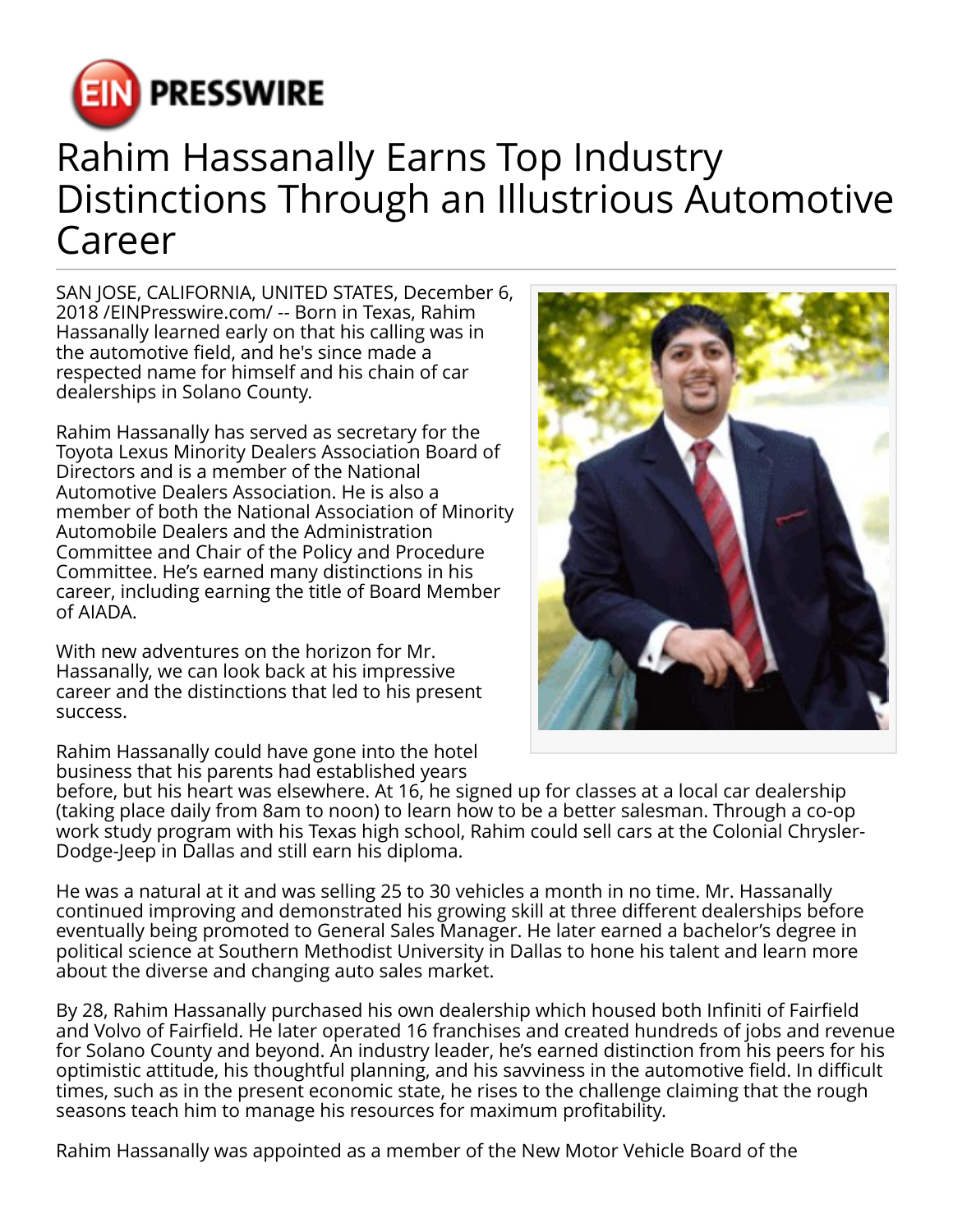

## Rahim Hassanally Earns Top Industry Distinctions Through an Illustrious Automotive Career

SAN JOSE, CALIFORNIA, UNITED STATES, December 6, 2018 /[EINPresswire.com](http://www.einpresswire.com)/ -- Born in Texas, Rahim Hassanally learned early on that his calling was in the automotive field, and he's since made a respected name for himself and his chain of car dealerships in Solano County.

Rahim Hassanally has served as secretary for the Toyota Lexus Minority Dealers Association Board of Directors and is a member of the National Automotive Dealers Association. He is also a member of both the National Association of Minority Automobile Dealers and the Administration Committee and Chair of the Policy and Procedure Committee. He's earned many distinctions in his career, including earning the title of Board Member of AIADA.

With new adventures on the horizon for Mr. Hassanally, we can look back at his impressive career and the distinctions that led to his present success.

Rahim Hassanally could have gone into the hotel business that his parents had established years

before, but his heart was elsewhere. At 16, he signed up for classes at a local car dealership (taking place daily from 8am to noon) to learn how to be a better salesman. Through a co-op work study program with his Texas high school, Rahim could sell cars at the Colonial Chrysler-Dodge-Jeep in Dallas and still earn his diploma.

He was a natural at it and was selling 25 to 30 vehicles a month in no time. Mr. Hassanally continued improving and demonstrated his growing skill at three different dealerships before eventually being promoted to General Sales Manager. He later earned a bachelor's degree in political science at Southern Methodist University in Dallas to hone his talent and learn more about the diverse and changing auto sales market.

By 28, Rahim Hassanally purchased his own dealership which housed both Infiniti of Fairfield and Volvo of Fairfield. He later operated 16 franchises and created hundreds of jobs and revenue for Solano County and beyond. An industry leader, he's earned distinction from his peers for his optimistic attitude, his thoughtful planning, and his savviness in the automotive field. In difficult times, such as in the present economic state, he rises to the challenge claiming that the rough seasons teach him to manage his resources for maximum profitability.

Rahim Hassanally was appointed as a member of the New Motor Vehicle Board of the